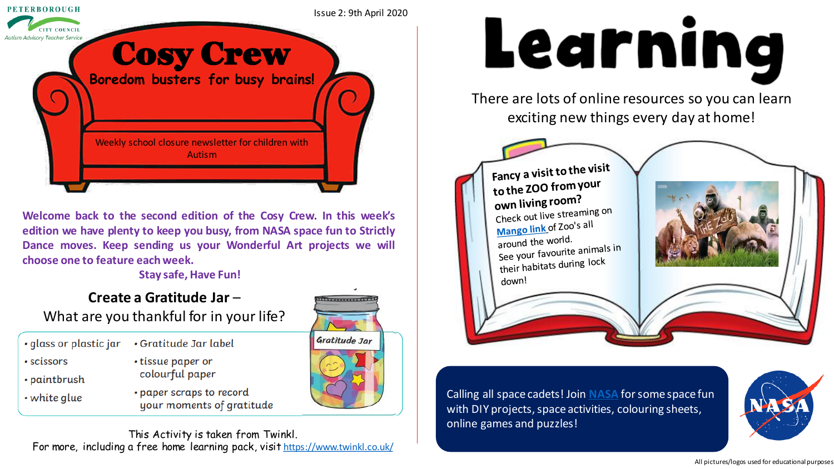

**Welcome back to the second edition of the Cosy Crew. In this week's edition we have plenty to keep you busy, from NASA space fun to Strictly Dance moves. Keep sending us your Wonderful Art projects we will choose one to feature each week.**

#### **Stay safe, Have Fun!**

#### **Create a Gratitude Jar** – What are you thankful for in your life?

- · glass or plastic jar
- · scissors
- · paintbrush
- white glue
- Gratitude Jar label
	- tissue paper or colourful paper
	- paper scraps to record your moments of gratitude



Tummund

# Learning

There are lots of online resources so you can learn exciting new things every day at home!



Calling all space cadets! Join **[NASA](https://spaceplace.nasa.gov/)** for some space fun with DIY projects, space activities, colouring sheets, online games and puzzles!



#### All pictures/logos used for educational purposes

This Activity is taken from Twinkl. For more, including a free home learning pack, visit <https://www.twinkl.co.uk/>